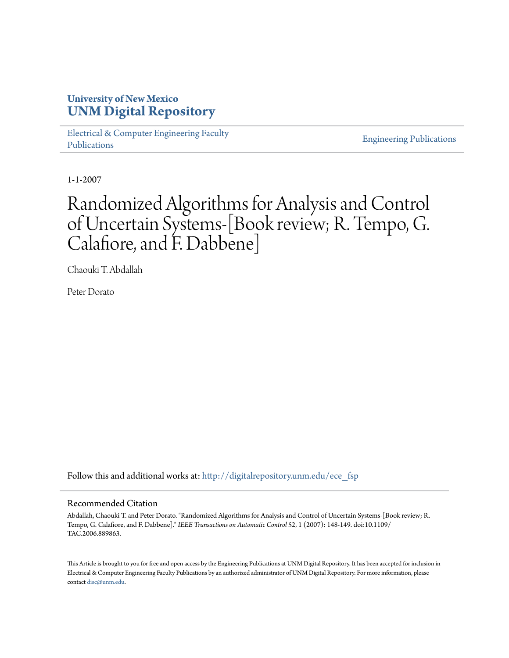## **University of New Mexico [UNM Digital Repository](http://digitalrepository.unm.edu?utm_source=digitalrepository.unm.edu%2Fece_fsp%2F161&utm_medium=PDF&utm_campaign=PDFCoverPages)**

[Electrical & Computer Engineering Faculty](http://digitalrepository.unm.edu/ece_fsp?utm_source=digitalrepository.unm.edu%2Fece_fsp%2F161&utm_medium=PDF&utm_campaign=PDFCoverPages) [Publications](http://digitalrepository.unm.edu/ece_fsp?utm_source=digitalrepository.unm.edu%2Fece_fsp%2F161&utm_medium=PDF&utm_campaign=PDFCoverPages)

[Engineering Publications](http://digitalrepository.unm.edu/eng_fsp?utm_source=digitalrepository.unm.edu%2Fece_fsp%2F161&utm_medium=PDF&utm_campaign=PDFCoverPages)

1-1-2007

# Randomized Algorithms for Analysis and Control of Uncertain Systems-[Book review; R. Tempo, G. Calafiore, and F. Dabbene]

Chaouki T. Abdallah

Peter Dorato

Follow this and additional works at: [http://digitalrepository.unm.edu/ece\\_fsp](http://digitalrepository.unm.edu/ece_fsp?utm_source=digitalrepository.unm.edu%2Fece_fsp%2F161&utm_medium=PDF&utm_campaign=PDFCoverPages)

### Recommended Citation

Abdallah, Chaouki T. and Peter Dorato. "Randomized Algorithms for Analysis and Control of Uncertain Systems-[Book review; R. Tempo, G. Calafiore, and F. Dabbene]." *IEEE Transactions on Automatic Control* 52, 1 (2007): 148-149. doi:10.1109/ TAC.2006.889863.

This Article is brought to you for free and open access by the Engineering Publications at UNM Digital Repository. It has been accepted for inclusion in Electrical & Computer Engineering Faculty Publications by an authorized administrator of UNM Digital Repository. For more information, please contact [disc@unm.edu.](mailto:disc@unm.edu)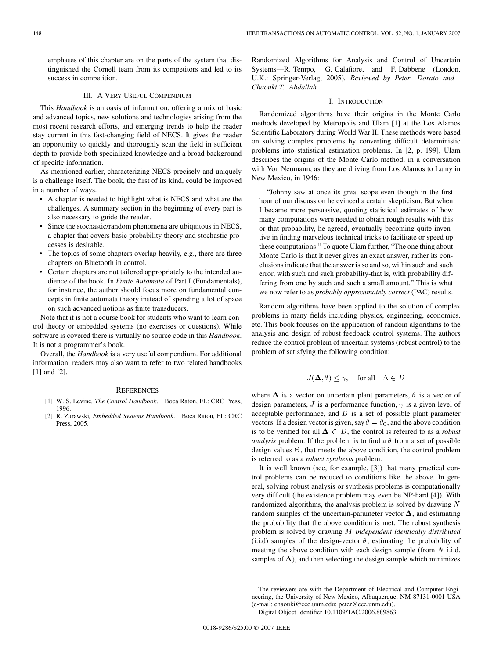emphases of this chapter are on the parts of the system that distinguished the Cornell team from its competitors and led to its success in competition.

#### III. A VERY USEFUL COMPENDIUM

This *Handbook* is an oasis of information, offering a mix of basic and advanced topics, new solutions and technologies arising from the most recent research efforts, and emerging trends to help the reader stay current in this fast-changing field of NECS. It gives the reader an opportunity to quickly and thoroughly scan the field in sufficient depth to provide both specialized knowledge and a broad background of specific information.

As mentioned earlier, characterizing NECS precisely and uniquely is a challenge itself. The book, the first of its kind, could be improved in a number of ways.

- A chapter is needed to highlight what is NECS and what are the challenges. A summary section in the beginning of every part is also necessary to guide the reader.
- Since the stochastic/random phenomena are ubiquitous in NECS, a chapter that covers basic probability theory and stochastic processes is desirable.
- The topics of some chapters overlap heavily, e.g., there are three chapters on Bluetooth in control.
- Certain chapters are not tailored appropriately to the intended audience of the book. In *Finite Automata* of Part I (Fundamentals), for instance, the author should focus more on fundamental concepts in finite automata theory instead of spending a lot of space on such advanced notions as finite transducers.

Note that it is not a course book for students who want to learn control theory or embedded systems (no exercises or questions). While software is covered there is virtually no source code in this *Handbook*. It is not a programmer's book.

Overall, the *Handbook* is a very useful compendium. For additional information, readers may also want to refer to two related handbooks [1] and [2].

#### **REFERENCES**

- [1] W. S. Levine*, The Control Handbook*. Boca Raton, FL: CRC Press, 1996.
- [2] R. Zurawski*, Embedded Systems Handbook*. Boca Raton, FL: CRC Press, 2005.

Randomized Algorithms for Analysis and Control of Uncertain Systems—R. Tempo, G. Calafiore, and F. Dabbene (London, U.K.: Springer-Verlag, 2005)*. Reviewed by Peter Dorato and Chaouki T. Abdallah*

#### I. INTRODUCTION

Randomized algorithms have their origins in the Monte Carlo methods developed by Metropolis and Ulam [1] at the Los Alamos Scientific Laboratory during World War II. These methods were based on solving complex problems by converting difficult deterministic problems into statistical estimation problems. In [2, p. 199], Ulam describes the origins of the Monte Carlo method, in a conversation with Von Neumann, as they are driving from Los Alamos to Lamy in New Mexico, in 1946:

"Johnny saw at once its great scope even though in the first hour of our discussion he evinced a certain skepticism. But when I became more persuasive, quoting statistical estimates of how many computations were needed to obtain rough results with this or that probability, he agreed, eventually becoming quite inventive in finding marvelous technical tricks to facilitate or speed up these computations." To quote Ulam further, "The one thing about Monte Carlo is that it never gives an exact answer, rather its conclusions indicate that the answer is so and so, within such and such error, with such and such probability-that is, with probability differing from one by such and such a small amount." This is what we now refer to as *probably approximately correct* (PAC) results.

Random algorithms have been applied to the solution of complex problems in many fields including physics, engineering, economics, etc. This book focuses on the application of random algorithms to the analysis and design of robust feedback control systems. The authors reduce the control problem of uncertain systems (robust control) to the problem of satisfying the following condition:

$$
J(\Delta, \theta) \le \gamma, \quad \text{for all} \quad \Delta \in D
$$

where  $\Delta$  is a vector on uncertain plant parameters,  $\theta$  is a vector of design parameters, J is a performance function,  $\gamma$  is a given level of acceptable performance, and  $D$  is a set of possible plant parameter vectors. If a design vector is given, say  $\theta = \theta_0$ , and the above condition is to be verified for all  $\Delta \in D$ , the control is referred to as a *robust analysis* problem. If the problem is to find a  $\theta$  from a set of possible design values  $\Theta$ , that meets the above condition, the control problem is referred to as a *robust synthesis* problem.

It is well known (see, for example, [\[3\]\)](#page-2-0) that many practical control problems can be reduced to conditions like the above. In general, solving robust analysis or synthesis problems is computationally very difficult (the existence problem may even be NP-hard [\[4\]](#page-2-0)). With randomized algorithms, the analysis problem is solved by drawing  $N$ random samples of the uncertain-parameter vector  $\Delta$ , and estimating the probability that the above condition is met. The robust synthesis problem is solved by drawing M *independent identically distributed* (i.i.d) samples of the design-vector  $\theta$ , estimating the probability of meeting the above condition with each design sample (from  $N$  i.i.d. samples of  $\Delta$ ), and then selecting the design sample which minimizes

The reviewers are with the Department of Electrical and Computer Engineering, the University of New Mexico, Albuquerque, NM 87131-0001 USA (e-mail: chaouki@ece.unm.edu; peter@ece.unm.edu). Digital Object Identifier 10.1109/TAC.2006.889863